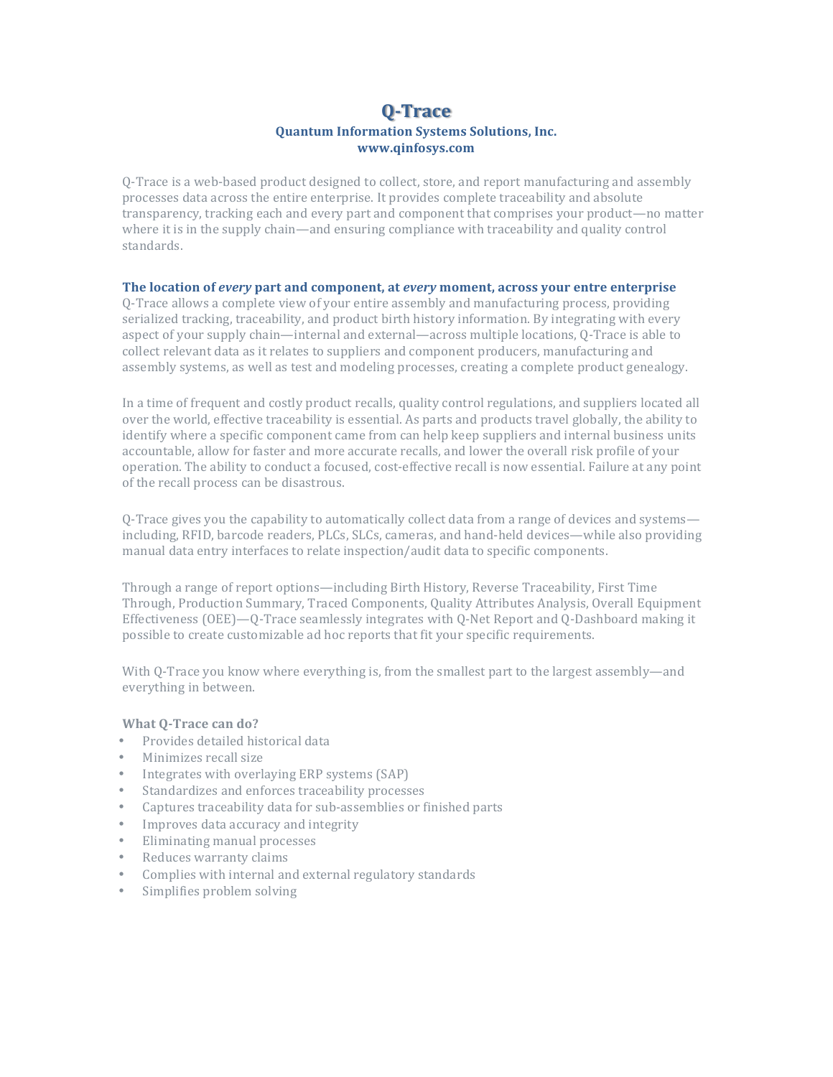# **Q-Trace Quantum Information Systems Solutions, Inc. www.qinfosys.com**

Q-Trace is a web-based product designed to collect, store, and report manufacturing and assembly processes data across the entire enterprise. It provides complete traceability and absolute transparency, tracking each and every part and component that comprises your product—no matter where it is in the supply chain—and ensuring compliance with traceability and quality control standards.

# **The location of** *every* **part and component, at** *every* **moment, across your entre enterprise**

O-Trace allows a complete view of your entire assembly and manufacturing process, providing serialized tracking, traceability, and product birth history information. By integrating with every aspect of your supply chain—internal and external—across multiple locations, Q-Trace is able to collect relevant data as it relates to suppliers and component producers, manufacturing and assembly systems, as well as test and modeling processes, creating a complete product genealogy.

In a time of frequent and costly product recalls, quality control regulations, and suppliers located all over the world, effective traceability is essential. As parts and products travel globally, the ability to identify where a specific component came from can help keep suppliers and internal business units accountable, allow for faster and more accurate recalls, and lower the overall risk profile of your operation. The ability to conduct a focused, cost-effective recall is now essential. Failure at any point of the recall process can be disastrous.

Q-Trace gives you the capability to automatically collect data from a range of devices and systems including, RFID, barcode readers, PLCs, SLCs, cameras, and hand-held devices—while also providing manual data entry interfaces to relate inspection/audit data to specific components.

Through a range of report options—including Birth History, Reverse Traceability, First Time Through, Production Summary, Traced Components, Quality Attributes Analysis, Overall Equipment Effectiveness (OEE)—Q-Trace seamlessly integrates with Q-Net Report and Q-Dashboard making it possible to create customizable ad hoc reports that fit your specific requirements.

With Q-Trace you know where everything is, from the smallest part to the largest assembly—and everything in between.

## **What Q-Trace can do?**

- Provides detailed historical data
- Minimizes recall size
- Integrates with overlaying ERP systems (SAP)
- Standardizes and enforces traceability processes
- Captures traceability data for sub-assemblies or finished parts
- Improves data accuracy and integrity
- Eliminating manual processes
- Reduces warranty claims
- Complies with internal and external regulatory standards
- Simplifies problem solving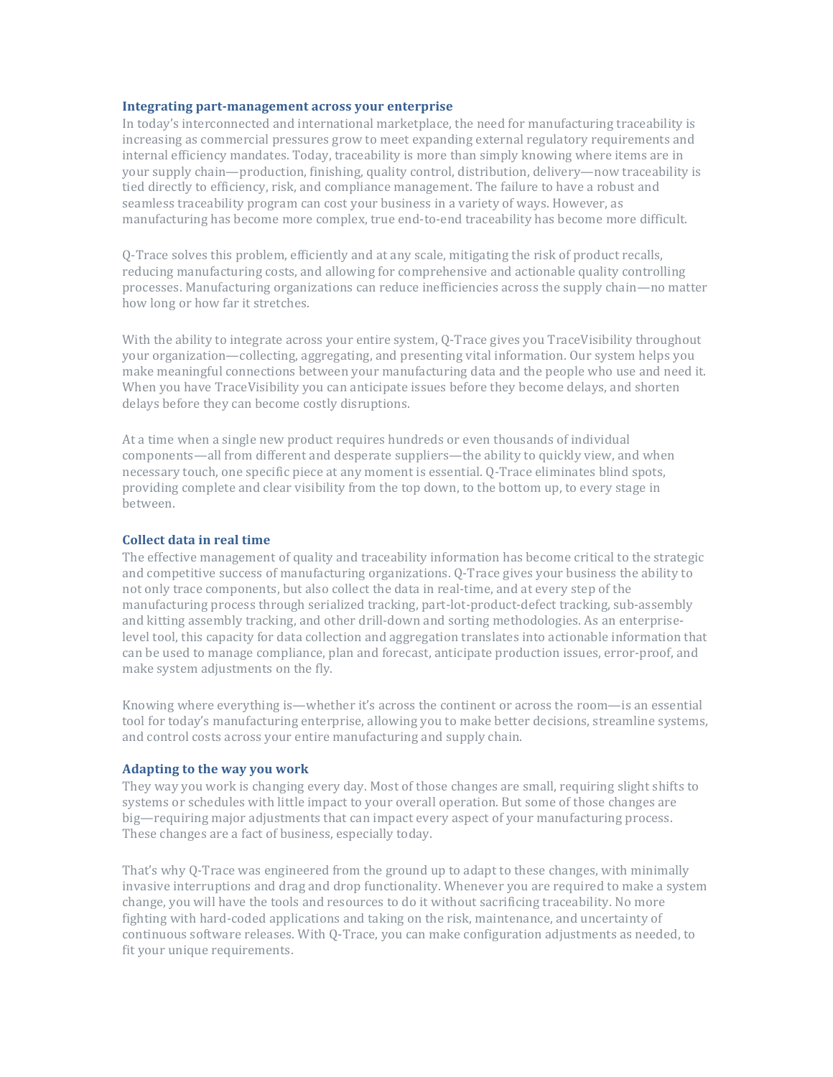#### **Integrating part-management across your enterprise**

In today's interconnected and international marketplace, the need for manufacturing traceability is increasing as commercial pressures grow to meet expanding external regulatory requirements and internal efficiency mandates. Today, traceability is more than simply knowing where items are in your supply chain—production, finishing, quality control, distribution, delivery—now traceability is tied directly to efficiency, risk, and compliance management. The failure to have a robust and seamless traceability program can cost your business in a variety of ways. However, as manufacturing has become more complex, true end-to-end traceability has become more difficult.

Q-Trace solves this problem, efficiently and at any scale, mitigating the risk of product recalls, reducing manufacturing costs, and allowing for comprehensive and actionable quality controlling processes. Manufacturing organizations can reduce inefficiencies across the supply chain—no matter how long or how far it stretches.

With the ability to integrate across your entire system, O-Trace gives you TraceVisibility throughout your organization—collecting, aggregating, and presenting vital information. Our system helps you make meaningful connections between your manufacturing data and the people who use and need it. When you have TraceVisibility you can anticipate issues before they become delays, and shorten delays before they can become costly disruptions.

At a time when a single new product requires hundreds or even thousands of individual components—all from different and desperate suppliers—the ability to quickly view, and when necessary touch, one specific piece at any moment is essential. Q-Trace eliminates blind spots, providing complete and clear visibility from the top down, to the bottom up, to every stage in between.

## **Collect data in real time**

The effective management of quality and traceability information has become critical to the strategic and competitive success of manufacturing organizations. O-Trace gives your business the ability to not only trace components, but also collect the data in real-time, and at every step of the manufacturing process through serialized tracking, part-lot-product-defect tracking, sub-assembly and kitting assembly tracking, and other drill-down and sorting methodologies. As an enterpriselevel tool, this capacity for data collection and aggregation translates into actionable information that can be used to manage compliance, plan and forecast, anticipate production issues, error-proof, and make system adjustments on the fly.

Knowing where everything is—whether it's across the continent or across the room—is an essential tool for today's manufacturing enterprise, allowing you to make better decisions, streamline systems, and control costs across your entire manufacturing and supply chain.

## **Adapting to the way you work**

They way you work is changing every day. Most of those changes are small, requiring slight shifts to systems or schedules with little impact to your overall operation. But some of those changes are big—requiring major adjustments that can impact every aspect of your manufacturing process. These changes are a fact of business, especially today.

That's why Q-Trace was engineered from the ground up to adapt to these changes, with minimally invasive interruptions and drag and drop functionality. Whenever you are required to make a system change, you will have the tools and resources to do it without sacrificing traceability. No more fighting with hard-coded applications and taking on the risk, maintenance, and uncertainty of continuous software releases. With 0-Trace, you can make configuration adjustments as needed, to fit your unique requirements.